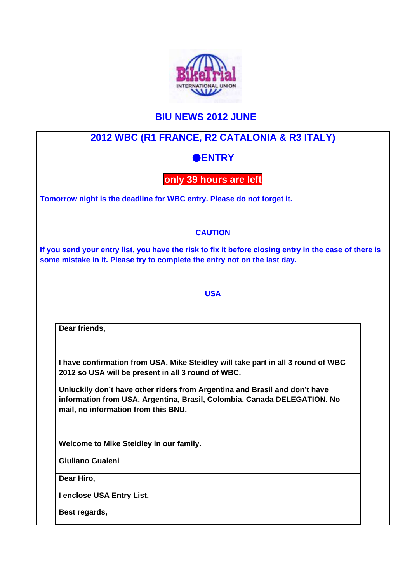

# **BIU NEWS 2012 JUNE**

# **2012 WBC (R1 FRANCE, R2 CATALONIA & R3 ITALY)**

## ●**ENTRY**

### **only 39 hours are left**

**Tomorrow night is the deadline for WBC entry. Please do not forget it.**

### **CAUTION**

**If you send your entry list, you have the risk to fix it before closing entry in the case of there is some mistake in it. Please try to complete the entry not on the last day.**

#### **USA**

**Dear friends,**

**I have confirmation from USA. Mike Steidley will take part in all 3 round of WBC 2012 so USA will be present in all 3 round of WBC.**

**Unluckily don't have other riders from Argentina and Brasil and don't have information from USA, Argentina, Brasil, Colombia, Canada DELEGATION. No mail, no information from this BNU.**

**Welcome to Mike Steidley in our family.**

**Giuliano Gualeni**

**Dear Hiro,**

**I enclose USA Entry List.**

**Best regards,**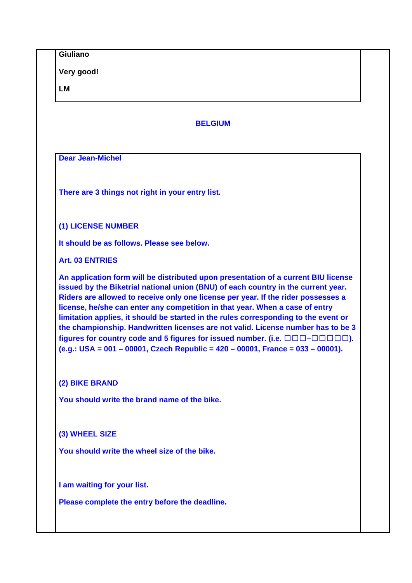|                | Very good!                                                                                                                                                                                                                                                                                                                                                                                                                                                                                                                                                                                                                                                                                                                |  |  |
|----------------|---------------------------------------------------------------------------------------------------------------------------------------------------------------------------------------------------------------------------------------------------------------------------------------------------------------------------------------------------------------------------------------------------------------------------------------------------------------------------------------------------------------------------------------------------------------------------------------------------------------------------------------------------------------------------------------------------------------------------|--|--|
| <b>LM</b>      |                                                                                                                                                                                                                                                                                                                                                                                                                                                                                                                                                                                                                                                                                                                           |  |  |
| <b>BELGIUM</b> |                                                                                                                                                                                                                                                                                                                                                                                                                                                                                                                                                                                                                                                                                                                           |  |  |
|                | <b>Dear Jean-Michel</b>                                                                                                                                                                                                                                                                                                                                                                                                                                                                                                                                                                                                                                                                                                   |  |  |
|                |                                                                                                                                                                                                                                                                                                                                                                                                                                                                                                                                                                                                                                                                                                                           |  |  |
|                | There are 3 things not right in your entry list.                                                                                                                                                                                                                                                                                                                                                                                                                                                                                                                                                                                                                                                                          |  |  |
|                | (1) LICENSE NUMBER                                                                                                                                                                                                                                                                                                                                                                                                                                                                                                                                                                                                                                                                                                        |  |  |
|                | It should be as follows. Please see below.                                                                                                                                                                                                                                                                                                                                                                                                                                                                                                                                                                                                                                                                                |  |  |
|                | <b>Art. 03 ENTRIES</b>                                                                                                                                                                                                                                                                                                                                                                                                                                                                                                                                                                                                                                                                                                    |  |  |
|                | An application form will be distributed upon presentation of a current BIU license<br>issued by the Biketrial national union (BNU) of each country in the current year.<br>Riders are allowed to receive only one license per year. If the rider possesses a<br>license, he/she can enter any competition in that year. When a case of entry<br>limitation applies, it should be started in the rules corresponding to the event or<br>the championship. Handwritten licenses are not valid. License number has to be 3<br>figures for country code and 5 figures for issued number. (i.e. $\Box \Box \Box - \Box \Box \Box \Box$ ).<br>(e.g.: USA = 001 - 00001, Czech Republic = $420 - 00001$ , France = 033 - 00001). |  |  |
|                | (2) BIKE BRAND                                                                                                                                                                                                                                                                                                                                                                                                                                                                                                                                                                                                                                                                                                            |  |  |
|                | You should write the brand name of the bike.                                                                                                                                                                                                                                                                                                                                                                                                                                                                                                                                                                                                                                                                              |  |  |
|                | (3) WHEEL SIZE                                                                                                                                                                                                                                                                                                                                                                                                                                                                                                                                                                                                                                                                                                            |  |  |
|                | You should write the wheel size of the bike.                                                                                                                                                                                                                                                                                                                                                                                                                                                                                                                                                                                                                                                                              |  |  |
|                | I am waiting for your list.                                                                                                                                                                                                                                                                                                                                                                                                                                                                                                                                                                                                                                                                                               |  |  |
|                | Please complete the entry before the deadline.                                                                                                                                                                                                                                                                                                                                                                                                                                                                                                                                                                                                                                                                            |  |  |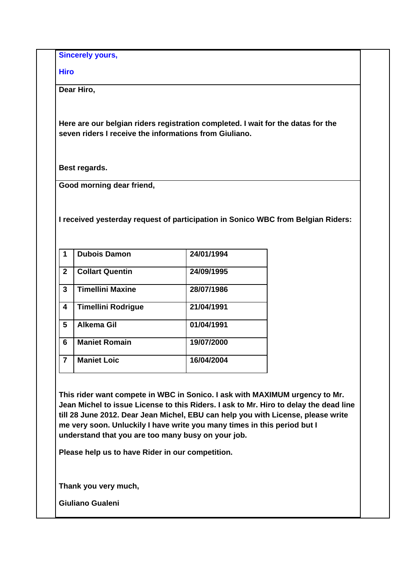**Sincerely yours,**

**Hiro**

**Dear Hiro,**

**Here are our belgian riders registration completed. I wait for the datas for the seven riders I receive the informations from Giuliano.**

**Best regards.**

**Good morning dear friend,**

**I received yesterday request of participation in Sonico WBC from Belgian Riders:**

|              | <b>Dubois Damon</b>       | 24/01/1994 |
|--------------|---------------------------|------------|
| $\mathbf{2}$ | <b>Collart Quentin</b>    | 24/09/1995 |
| 3            | <b>Timellini Maxine</b>   | 28/07/1986 |
| 4            | <b>Timellini Rodrigue</b> | 21/04/1991 |
| 5            | <b>Alkema Gil</b>         | 01/04/1991 |
| 6            | <b>Maniet Romain</b>      | 19/07/2000 |
| 7            | <b>Maniet Loic</b>        | 16/04/2004 |

**This rider want compete in WBC in Sonico. I ask with MAXIMUM urgency to Mr. Jean Michel to issue License to this Riders. I ask to Mr. Hiro to delay the dead line till 28 June 2012. Dear Jean Michel, EBU can help you with License, please write me very soon. Unluckily I have write you many times in this period but I understand that you are too many busy on your job.**

**Please help us to have Rider in our competition.**

**Thank you very much,**

**Giuliano Gualeni**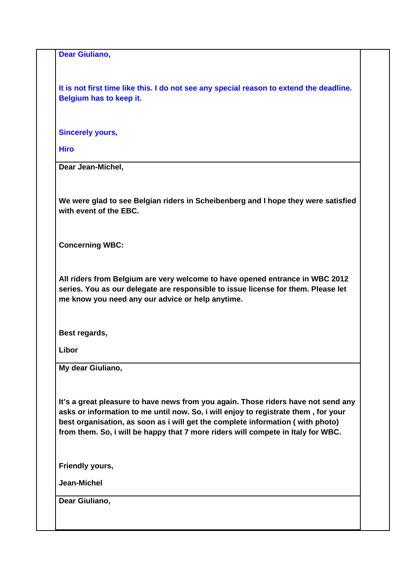**Dear Giuliano,**

**It is not first time like this. I do not see any special reason to extend the deadline. Belgium has to keep it.**

**Sincerely yours,**

**Hiro**

**Dear Jean-Michel,**

**We were glad to see Belgian riders in Scheibenberg and I hope they were satisfied with event of the EBC.**

**Concerning WBC:**

**All riders from Belgium are very welcome to have opened entrance in WBC 2012 series. You as our delegate are responsible to issue license for them. Please let me know you need any our advice or help anytime.**

**Best regards,**

**Libor**

**My dear Giuliano,**

**It's a great pleasure to have news from you again. Those riders have not send any asks or information to me until now. So, i will enjoy to registrate them , for your best organisation, as soon as i will get the complete information ( with photo) from them. So, i will be happy that 7 more riders will compete in Italy for WBC.**

**Friendly yours,**

**Jean-Michel**

**Dear Giuliano,**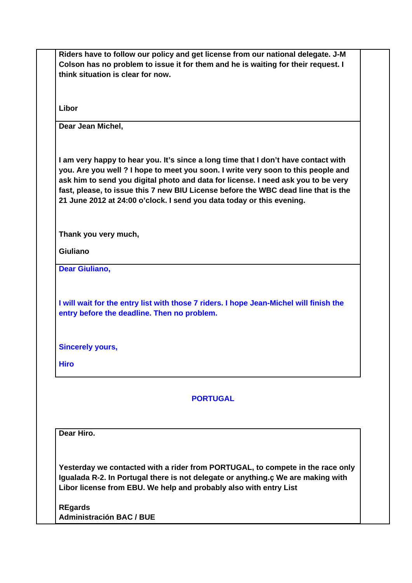|                         | Colson has no problem to issue it for them and he is waiting for their request. I<br>think situation is clear for now.                                                 |
|-------------------------|------------------------------------------------------------------------------------------------------------------------------------------------------------------------|
|                         |                                                                                                                                                                        |
| Libor                   |                                                                                                                                                                        |
| Dear Jean Michel,       |                                                                                                                                                                        |
|                         |                                                                                                                                                                        |
|                         | I am very happy to hear you. It's since a long time that I don't have contact with                                                                                     |
|                         | you. Are you well ? I hope to meet you soon. I write very soon to this people and<br>ask him to send you digital photo and data for license. I need ask you to be very |
|                         | fast, please, to issue this 7 new BIU License before the WBC dead line that is the                                                                                     |
|                         | 21 June 2012 at 24:00 o'clock. I send you data today or this evening.                                                                                                  |
|                         |                                                                                                                                                                        |
|                         | Thank you very much,                                                                                                                                                   |
| <b>Giuliano</b>         |                                                                                                                                                                        |
| <b>Dear Giuliano,</b>   |                                                                                                                                                                        |
|                         |                                                                                                                                                                        |
|                         | I will wait for the entry list with those 7 riders. I hope Jean-Michel will finish the                                                                                 |
|                         | entry before the deadline. Then no problem.                                                                                                                            |
|                         |                                                                                                                                                                        |
| <b>Sincerely yours,</b> |                                                                                                                                                                        |
| <b>Hiro</b>             |                                                                                                                                                                        |
|                         |                                                                                                                                                                        |
|                         | <b>PORTUGAL</b>                                                                                                                                                        |
|                         |                                                                                                                                                                        |
| Dear Hiro.              |                                                                                                                                                                        |
|                         |                                                                                                                                                                        |
|                         | Yesterday we contacted with a rider from PORTUGAL, to compete in the race only                                                                                         |
|                         | Igualada R-2. In Portugal there is not delegate or anything.c We are making with                                                                                       |
|                         | Libor license from EBU. We help and probably also with entry List                                                                                                      |
| <b>REgards</b>          |                                                                                                                                                                        |
|                         | <b>Administración BAC / BUE</b>                                                                                                                                        |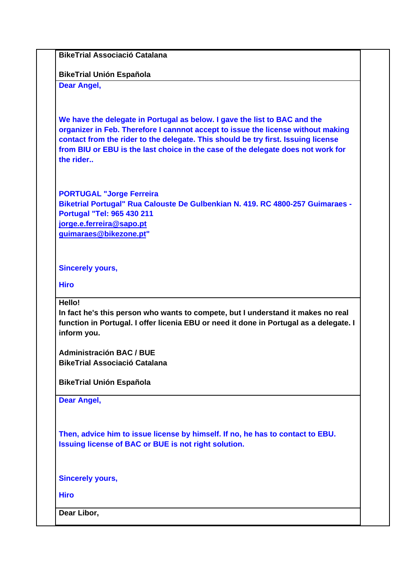**BikeTrial Associació Catalana** 

**BikeTrial Unión Española**

**Dear Angel,**

**We have the delegate in Portugal as below. I gave the list to BAC and the organizer in Feb. Therefore I cannnot accept to issue the license without making contact from the rider to the delegate. This should be try first. Issuing license from BIU or EBU is the last choice in the case of the delegate does not work for the rider..**

**PORTUGAL "Jorge Ferreira Biketrial Portugal" Rua Calouste De Gulbenkian N. 419. RC 4800-257 Guimaraes - Portugal "Tel: 965 430 211 jorge.e.ferreira@sapo.pt guimaraes@bikezone.pt"**

**Sincerely yours,**

**Hiro**

**Hello!** 

**In fact he's this person who wants to compete, but I understand it makes no real function in Portugal. I offer licenia EBU or need it done in Portugal as a delegate. I inform you.**

**Administración BAC / BUE BikeTrial Associació Catalana** 

**BikeTrial Unión Española**

**Dear Angel,**

**Then, advice him to issue license by himself. If no, he has to contact to EBU. Issuing license of BAC or BUE is not right solution.**

**Sincerely yours,**

**Hiro**

**Dear Libor,**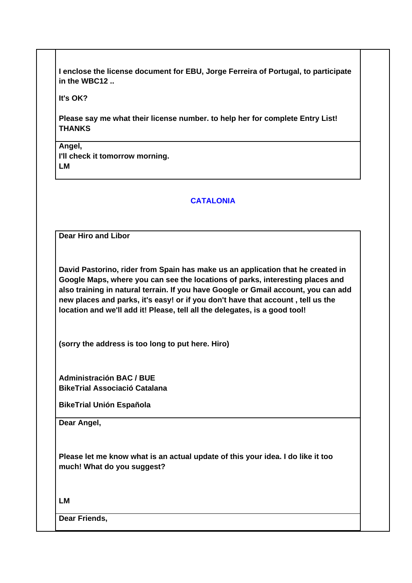**I enclose the license document for EBU, Jorge Ferreira of Portugal, to participate in the WBC12 ..**

**It's OK?** 

**Please say me what their license number. to help her for complete Entry List! THANKS**

**Angel, I'll check it tomorrow morning. LM**

#### **CATALONIA**

**Dear Hiro and Libor**

**David Pastorino, rider from Spain has make us an application that he created in Google Maps, where you can see the locations of parks, interesting places and also training in natural terrain. If you have Google or Gmail account, you can add new places and parks, it's easy! or if you don't have that account , tell us the location and we'll add it! Please, tell all the delegates, is a good tool!**

**(sorry the address is too long to put here. Hiro)**

**Administración BAC / BUE BikeTrial Associació Catalana**

**BikeTrial Unión Española**

**Dear Angel,**

**Please let me know what is an actual update of this your idea. I do like it too much! What do you suggest?**

**LM**

**Dear Friends,**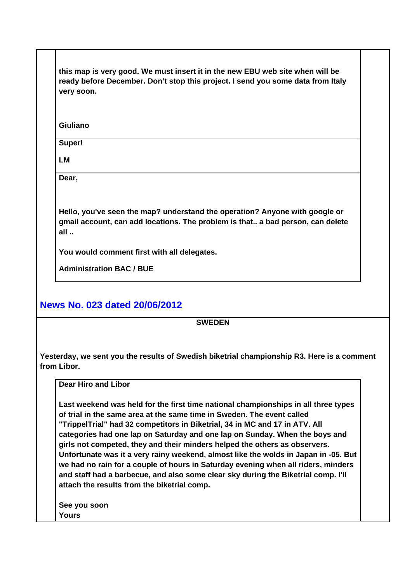**this map is very good. We must insert it in the new EBU web site when will be ready before December. Don't stop this project. I send you some data from Italy very soon.**

**Giuliano**

**Super!**

**LM**

**Dear,**

**Hello, you've seen the map? understand the operation? Anyone with google or gmail account, can add locations. The problem is that.. a bad person, can delete all ..** 

**You would comment first with all delegates.**

**Administration BAC / BUE**

### **News No. 023 dated 20/06/2012**

**SWEDEN**

**Yesterday, we sent you the results of Swedish biketrial championship R3. Here is a comment from Libor.**

**Dear Hiro and Libor** 

**Last weekend was held for the first time national championships in all three types of trial in the same area at the same time in Sweden. The event called "TrippelTrial" had 32 competitors in Biketrial, 34 in MC and 17 in ATV. All categories had one lap on Saturday and one lap on Sunday. When the boys and girls not competed, they and their minders helped the others as observers. Unfortunate was it a very rainy weekend, almost like the wolds in Japan in -05. But we had no rain for a couple of hours in Saturday evening when all riders, minders and staff had a barbecue, and also some clear sky during the Biketrial comp. I'll attach the results from the biketrial comp.** 

**See you soon Yours**